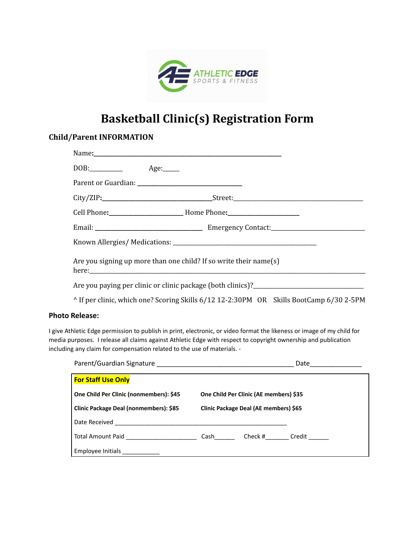

## **Basketball Clinic(s) Registration Form**

## **Child/Parent INFORMATION**

|                                                                                         | Are you signing up more than one child? If so write their name(s) |  |  |
|-----------------------------------------------------------------------------------------|-------------------------------------------------------------------|--|--|
|                                                                                         |                                                                   |  |  |
| ^ If per clinic, which one? Scoring Skills 6/12 12-2:30PM OR Skills BootCamp 6/30 2-5PM |                                                                   |  |  |

## **Photo Release:**

I give Athletic Edge permission to publish in print, electronic, or video format the likeness or image of my child for media purposes. I release all claims against Athletic Edge with respect to copyright ownership and publication including any claim for compensation related to the use of materials. -

|                                            | Date                                   |  |                     |
|--------------------------------------------|----------------------------------------|--|---------------------|
| <b>For Staff Use Only</b>                  |                                        |  |                     |
| One Child Per Clinic (nonmembers): \$45    | One Child Per Clinic (AE members) \$35 |  |                     |
| Clinic Package Deal (nonmembers): \$85     | Clinic Package Deal (AE members) \$65  |  |                     |
| Date Received                              |                                        |  |                     |
| Total Amount Paid ________________________ |                                        |  | Cash Check # Credit |
| Employee Initials                          |                                        |  |                     |